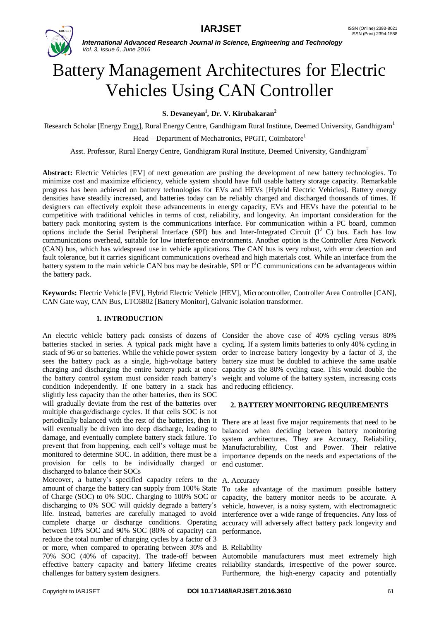

# Battery Management Architectures for Electric Vehicles Using CAN Controller

**S. Devaneyan<sup>1</sup>** *,* **Dr. V. Kirubakaran<sup>2</sup>**

Research Scholar [Energy Engg], Rural Energy Centre, Gandhigram Rural Institute, Deemed University, Gandhigram<sup>1</sup>

Head – Department of Mechatronics, PPGIT, Coimbatore<sup>1</sup>

Asst. Professor, Rural Energy Centre, Gandhigram Rural Institute, Deemed University, Gandhigram<sup>2</sup>

**Abstract:** Electric Vehicles [EV] of next generation are pushing the development of new battery technologies. To minimize cost and maximize efficiency, vehicle system should have full usable battery storage capacity. Remarkable progress has been achieved on battery technologies for EVs and HEVs [Hybrid Electric Vehicles]. Battery energy densities have steadily increased, and batteries today can be reliably charged and discharged thousands of times. If designers can effectively exploit these advancements in energy capacity, EVs and HEVs have the potential to be competitive with traditional vehicles in terms of cost, reliability, and longevity. An important consideration for the battery pack monitoring system is the communications interface. For communication within a PC board, common options include the Serial Peripheral Interface (SPI) bus and Inter-Integrated Circuit  $(I^2 C)$  bus. Each has low communications overhead, suitable for low interference environments. Another option is the Controller Area Network (CAN) bus, which has widespread use in vehicle applications. The CAN bus is very robust, with error detection and fault tolerance, but it carries significant communications overhead and high materials cost. While an interface from the battery system to the main vehicle CAN bus may be desirable, SPI or  $1^2C$  communications can be advantageous within the battery pack.

**Keywords:** Electric Vehicle [EV], Hybrid Electric Vehicle [HEV], Microcontroller, Controller Area Controller [CAN], CAN Gate way, CAN Bus, LTC6802 [Battery Monitor], Galvanic isolation transformer.

# **1. INTRODUCTION**

An electric vehicle battery pack consists of dozens of Consider the above case of 40% cycling versus 80% batteries stacked in series. A typical pack might have a cycling. If a system limits batteries to only 40% cycling in stack of 96 or so batteries. While the vehicle power system order to increase battery longevity by a factor of 3, the sees the battery pack as a single, high-voltage battery battery size must be doubled to achieve the same usable charging and discharging the entire battery pack at once capacity as the 80% cycling case. This would double the the battery control system must consider reach battery's weight and volume of the battery system, increasing costs condition independently. If one battery in a stack has and reducing efficiency. slightly less capacity than the other batteries, then its SOC will gradually deviate from the rest of the batteries over multiple charge/discharge cycles. If that cells SOC is not periodically balanced with the rest of the batteries, then it There are at least five major requirements that need to be will eventually be driven into deep discharge, leading to damage, and eventually complete battery stack failure. To prevent that from happening, each cell's voltage must be monitored to determine SOC. In addition, there must be a provision for cells to be individually charged or discharged to balance their SOCs

Moreover, a battery's specified capacity refers to the A. Accuracy amount of charge the battery can supply from 100% State To take advantage of the maximum possible battery of Charge (SOC) to 0% SOC. Charging to 100% SOC or discharging to 0% SOC will quickly degrade a battery's life. Instead, batteries are carefully managed to avoid complete charge or discharge conditions. Operating accuracy will adversely affect battery pack longevity and between 10% SOC and 90% SOC (80% of capacity) can performance**.** reduce the total number of charging cycles by a factor of 3 or more, when compared to operating between 30% and B. Reliability 70% SOC (40% of capacity). The trade-off between Automobile manufacturers must meet extremely high effective battery capacity and battery lifetime creates reliability standards, irrespective of the power source. challenges for battery system designers.

# **2. BATTERY MONITORING REQUIREMENTS**

balanced when deciding between battery monitoring system architectures. They are Accuracy, Reliability, Manufacturability, Cost and Power. Their relative importance depends on the needs and expectations of the end customer.

capacity, the battery monitor needs to be accurate. A vehicle, however, is a noisy system, with electromagnetic interference over a wide range of frequencies. Any loss of

Furthermore, the high-energy capacity and potentially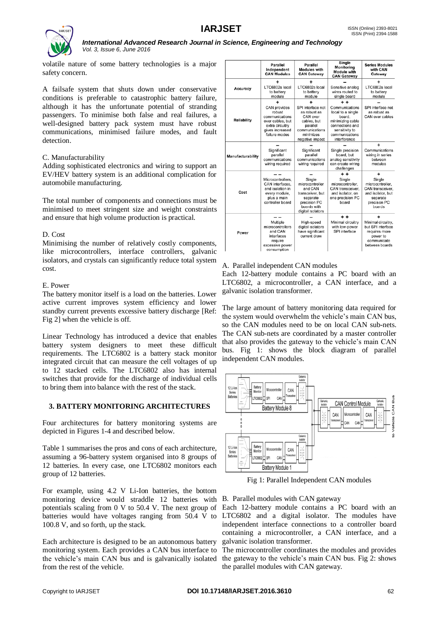

volatile nature of some battery technologies is a major safety concern.

A failsafe system that shuts down under conservative conditions is preferable to catastrophic battery failure, although it has the unfortunate potential of stranding passengers. To minimise both false and real failures, a well-designed battery pack system must have robust communications, minimised failure modes, and fault detection.

# C. Manufacturability

Adding sophisticated electronics and wiring to support an EV/HEV battery system is an additional complication for automobile manufacturing.

The total number of components and connections must be minimised to meet stringent size and weight constraints and ensure that high volume production is practical.

# D. Cost

Minimising the number of relatively costly components, like microcontrollers, interface controllers, galvanic isolators, and crystals can significantly reduce total system cost.

# E. Power

The battery monitor itself is a load on the batteries. Lower active current improves system efficiency and lower standby current prevents excessive battery discharge [Ref: Fig 2] when the vehicle is off.

Linear Technology has introduced a device that enables battery system designers to meet these difficult requirements. The LTC6802 is a battery stack monitor integrated circuit that can measure the cell voltages of up to 12 stacked cells. The LTC6802 also has internal switches that provide for the discharge of individual cells to bring them into balance with the rest of the stack.

# **3. BATTERY MONITORING ARCHITECTURES**

Four architectures for battery monitoring systems are depicted in Figures 1-4 and described below.

Table 1 summarises the pros and cons of each architecture, assuming a 96-battery system organised into 8 groups of 12 batteries. In every case, one LTC6802 monitors each group of 12 batteries.

For example, using 4.2 V Li-Ion batteries, the bottom monitoring device would straddle 12 batteries with B. Parallel modules with CAN gateway potentials scaling from 0 V to 50.4 V. The next group of batteries would have voltages ranging from 50.4 V to 100.8 V, and so forth, up the stack.

Each architecture is designed to be an autonomous battery monitoring system. Each provides a CAN bus interface to the vehicle's main CAN bus and is galvanically isolated from the rest of the vehicle.

|                    | Parallel<br>Independent<br><b>CAN Modules</b>                                                                                   | Parallel<br><b>Modules with</b><br><b>CAN Gateway</b>                                                                      | Single<br>Monitoring<br>Module with<br><b>CAN Gateway</b>                                                                                         | <b>Series Modules</b><br>with CAN<br>Gateway                                                              |
|--------------------|---------------------------------------------------------------------------------------------------------------------------------|----------------------------------------------------------------------------------------------------------------------------|---------------------------------------------------------------------------------------------------------------------------------------------------|-----------------------------------------------------------------------------------------------------------|
| Accuracy           | LTC6802s local<br>to battery<br>module                                                                                          | LTC6802s local<br>to battery<br>module                                                                                     | Sensitive analog<br>wires routed to<br>single board                                                                                               | LTC6802s local<br>to battery<br>module                                                                    |
| <b>Reliability</b> | +<br><b>CAN provides</b><br>robust<br>communications<br>over cables, but<br>extra circuitry<br>gives increased<br>failure modes | SPI interface not<br>as robust as<br>CAN over<br>cables, but<br>parallel<br>communications<br>minimizes<br>negative impact | $+ +$<br>Communications<br>local to a single<br>board.<br>minimizing cable<br>connections and<br>sensitivity to<br>communications<br>interference | SPI interface not<br>as robust as<br>CAN over cables                                                      |
| Manufacturability  | Significant<br>parallel<br>communications<br>wiring required                                                                    | Significant<br>parallel<br>communications<br>wiring required                                                               | Single precision<br>board, but<br>analog sensitivity<br>can create wiring<br>challenges                                                           | Communications<br>wiring in series<br>between<br>modules                                                  |
| Cost               | Microcontrollers.<br>CAN interfaces.<br>and isolation in<br>every module,<br>plus a main<br>controller board                    | Single<br>microcontroller<br>and CAN<br>transceiver, but<br>separate<br>precision PC<br>boards with<br>digital isolators   | $+ +$<br>Single<br>microcontroller.<br>CAN transceiver.<br>and isolator, on<br>one precision PC<br>board                                          | Single<br>microccntroller.<br>CAN transceiver.<br>and isolator, but<br>separate<br>precision PC<br>boards |
| Power              | Multiple<br>microcontrollers<br>and CAN<br>interfaces<br>require<br>excessive power<br>consumption                              | High-speed<br>digital isolators<br>have significant<br>current draw                                                        | $+ +$<br>Minimal circuitry<br>with low-power<br>SPI interface                                                                                     | Minimal circuitry.<br>but SPI interface<br>requires more<br>power to<br>communicate<br>between boards     |

# A. Parallel independent CAN modules

Each 12-battery module contains a PC board with an LTC6802, a microcontroller, a CAN interface, and a galvanic isolation transformer.

The large amount of battery monitoring data required for the system would overwhelm the vehicle's main CAN bus, so the CAN modules need to be on local CAN sub-nets. The CAN sub-nets are coordinated by a master controller that also provides the gateway to the vehicle's main CAN bus. Fig 1: shows the block diagram of parallel independent CAN modules.



Fig 1: Parallel Independent CAN modules

Each 12-battery module contains a PC board with an LTC6802 and a digital isolator. The modules have independent interface connections to a controller board containing a microcontroller, a CAN interface, and a galvanic isolation transformer.

The microcontroller coordinates the modules and provides the gateway to the vehicle's main CAN bus. Fig 2: shows the parallel modules with CAN gateway.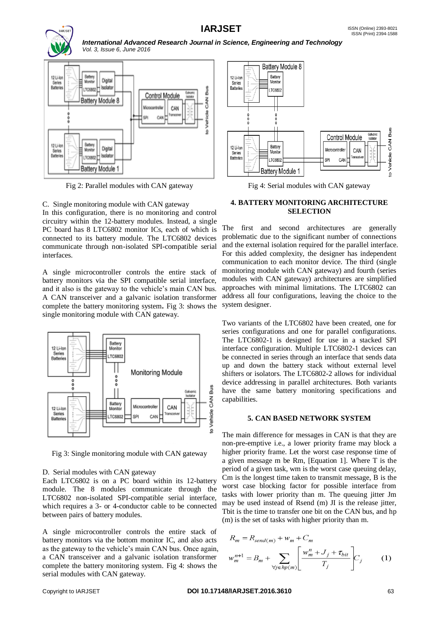



Fig 2: Parallel modules with CAN gateway

C. Single monitoring module with CAN gateway

In this configuration, there is no monitoring and control circuitry within the 12-battery modules. Instead, a single PC board has 8 LTC6802 monitor ICs, each of which is connected to its battery module. The LTC6802 devices communicate through non-isolated SPI-compatible serial interfaces.

A single microcontroller controls the entire stack of battery monitors via the SPI compatible serial interface, and it also is the gateway to the vehicle's main CAN bus. A CAN transceiver and a galvanic isolation transformer complete the battery monitoring system**.** Fig 3: shows the single monitoring module with CAN gateway.



Fig 3: Single monitoring module with CAN gateway

#### D. Serial modules with CAN gateway

Each LTC6802 is on a PC board within its 12-battery module. The 8 modules communicate through the LTC6802 non-isolated SPI-compatible serial interface, which requires a 3- or 4-conductor cable to be connected between pairs of battery modules.

A single microcontroller controls the entire stack of battery monitors via the bottom monitor IC, and also acts as the gateway to the vehicle's main CAN bus. Once again, a CAN transceiver and a galvanic isolation transformer complete the battery monitoring system. Fig 4: shows the serial modules with CAN gateway.



Fig 4: Serial modules with CAN gateway

### **4. BATTERY MONITORING ARCHITECTURE SELECTION**

The first and second architectures are generally problematic due to the significant number of connections and the external isolation required for the parallel interface. For this added complexity, the designer has independent communication to each monitor device. The third (single monitoring module with CAN gateway) and fourth (series modules with CAN gateway) architectures are simplified approaches with minimal limitations. The LTC6802 can address all four configurations, leaving the choice to the system designer.

Two variants of the LTC6802 have been created, one for series configurations and one for parallel configurations. The LTC6802-1 is designed for use in a stacked SPI interface configuration. Multiple LTC6802-1 devices can be connected in series through an interface that sends data up and down the battery stack without external level shifters or isolators. The LTC6802-2 allows for individual device addressing in parallel architectures. Both variants have the same battery monitoring specifications and capabilities.

#### **5. CAN BASED NETWORK SYSTEM**

The main difference for messages in CAN is that they are non-pre-emptive i.e., a lower priority frame may block a higher priority frame. Let the worst case response time of a given message m be Rm, [Equation 1]. Where T is the period of a given task, wm is the worst case queuing delay, Cm is the longest time taken to transmit message, B is the worst case blocking factor for possible interface from tasks with lower priority than m. The queuing jitter Jm may be used instead of Rsend (m) JI is the release jitter, Tbit is the time to transfer one bit on the CAN bus, and hp (m) is the set of tasks with higher priority than m.

$$
R_m = R_{send(m)} + w_m + C_m
$$
  

$$
w_m^{n+1} = B_m + \sum_{\forall j \in hp(m)} \left[ \frac{w_m^n + J_j + \tau_{bit}}{T_j} \right] C_j
$$
 (1)